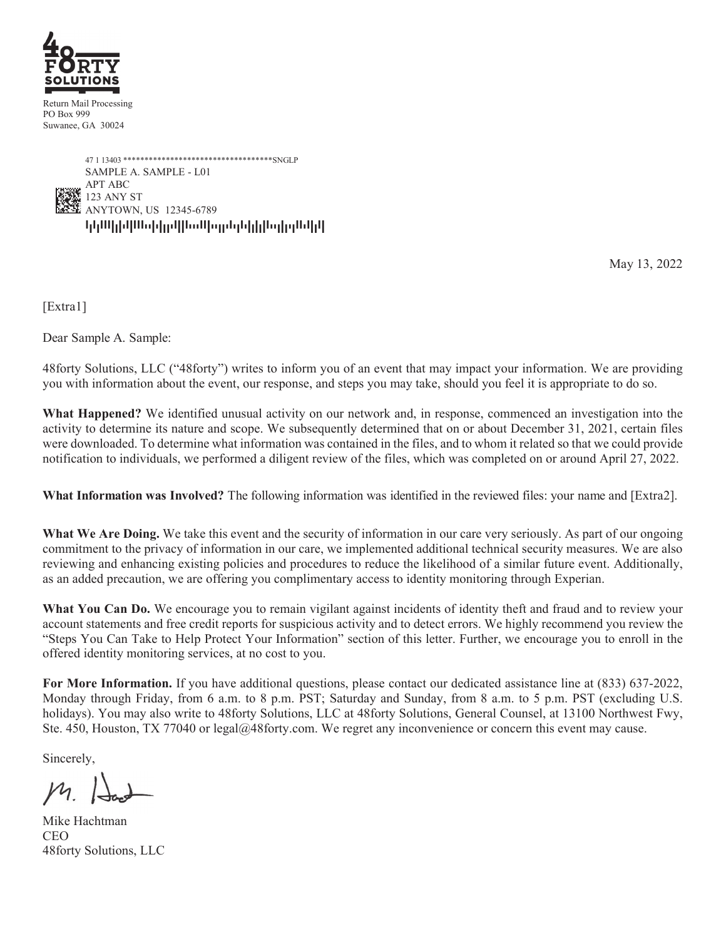

Return Mail Processing PO Box 999 Suwanee, GA 30024



May 13, 2022

[Extra1]

Dear Sample A. Sample:

48forty Solutions, LLC ("48forty") writes to inform you of an event that may impact your information. We are providing you with information about the event, our response, and steps you may take, should you feel it is appropriate to do so.

**What Happened?** We identified unusual activity on our network and, in response, commenced an investigation into the activity to determine its nature and scope. We subsequently determined that on or about December 31, 2021, certain files were downloaded. To determine what information was contained in the files, and to whom it related so that we could provide notification to individuals, we performed a diligent review of the files, which was completed on or around April 27, 2022.

**What Information was Involved?** The following information was identified in the reviewed files: your name and [Extra2].

What We Are Doing. We take this event and the security of information in our care very seriously. As part of our ongoing commitment to the privacy of information in our care, we implemented additional technical security measures. We are also reviewing and enhancing existing policies and procedures to reduce the likelihood of a similar future event. Additionally, as an added precaution, we are offering you complimentary access to identity monitoring through Experian.

What You Can Do. We encourage you to remain vigilant against incidents of identity theft and fraud and to review your account statements and free credit reports for suspicious activity and to detect errors. We highly recommend you review the "Steps You Can Take to Help Protect Your Information" section of this letter. Further, we encourage you to enroll in the offered identity monitoring services, at no cost to you.

**For More Information.** If you have additional questions, please contact our dedicated assistance line at (833) 637-2022, Monday through Friday, from 6 a.m. to 8 p.m. PST; Saturday and Sunday, from 8 a.m. to 5 p.m. PST (excluding U.S. holidays). You may also write to 48forty Solutions, LLC at 48forty Solutions, General Counsel, at 13100 Northwest Fwy, Ste. 450, Houston, TX 77040 or legal@48forty.com. We regret any inconvenience or concern this event may cause.

Sincerely,

Mike Hachtman CEO 48forty Solutions, LLC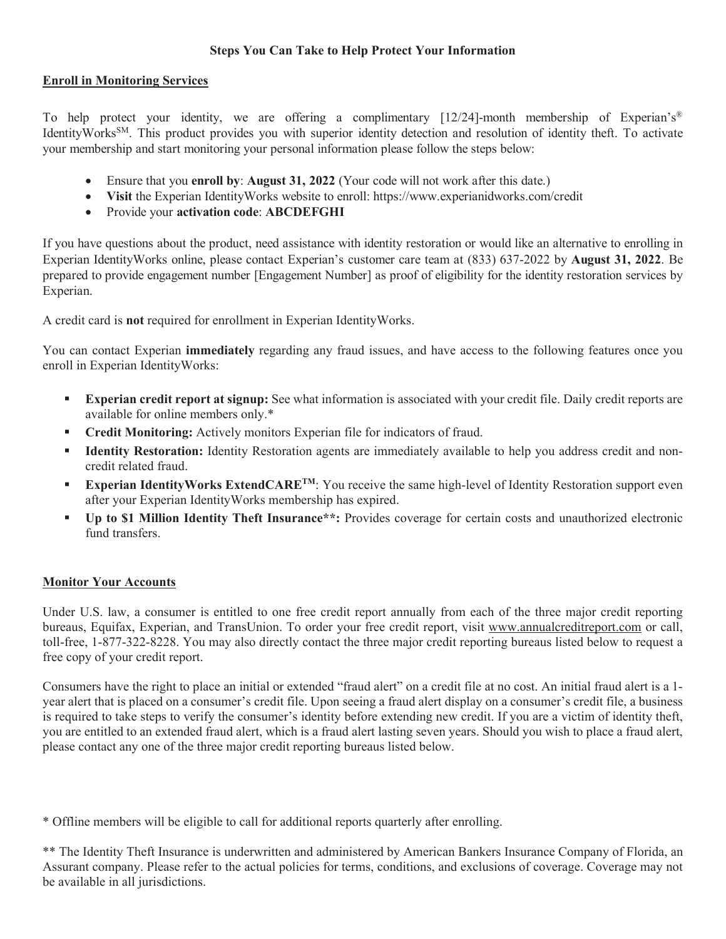## **Steps You Can Take to Help Protect Your Information**

## **Enroll in Monitoring Services**

To help protect your identity, we are offering a complimentary [12/24]-month membership of Experian's<sup>®</sup> IdentityWorks<sup>SM</sup>. This product provides you with superior identity detection and resolution of identity theft. To activate your membership and start monitoring your personal information please follow the steps below:

- Ensure that you **enroll by**: **August 31, 2022** (Your code will not work after this date.)
- **Visit** the Experian IdentityWorks website to enroll: https://www.experianidworks.com/credit
- Provide your **activation code**: **ABCDEFGHI**

If you have questions about the product, need assistance with identity restoration or would like an alternative to enrolling in Experian IdentityWorks online, please contact Experian's customer care team at (833) 637-2022 by **August 31, 2022**. Be prepared to provide engagement number [Engagement Number] as proof of eligibility for the identity restoration services by Experian.

A credit card is **not** required for enrollment in Experian IdentityWorks.

You can contact Experian **immediately** regarding any fraud issues, and have access to the following features once you enroll in Experian IdentityWorks:

- **Experian credit report at signup:** See what information is associated with your credit file. Daily credit reports are available for online members only.\*
- **Credit Monitoring:** Actively monitors Experian file for indicators of fraud.
- **Identity Restoration:** Identity Restoration agents are immediately available to help you address credit and noncredit related fraud.
- **Experian IdentityWorks ExtendCARE<sup>TM</sup>**: You receive the same high-level of Identity Restoration support even after your Experian IdentityWorks membership has expired.
- **Up to \$1 Million Identity Theft Insurance\*\*:** Provides coverage for certain costs and unauthorized electronic fund transfers.

## **Monitor Your Accounts**

Under U.S. law, a consumer is entitled to one free credit report annually from each of the three major credit reporting bureaus, Equifax, Experian, and TransUnion. To order your free credit report, visit www.annualcreditreport.com or call, toll-free, 1-877-322-8228. You may also directly contact the three major credit reporting bureaus listed below to request a free copy of your credit report.

Consumers have the right to place an initial or extended "fraud alert" on a credit file at no cost. An initial fraud alert is a 1 year alert that is placed on a consumer's credit file. Upon seeing a fraud alert display on a consumer's credit file, a business is required to take steps to verify the consumer's identity before extending new credit. If you are a victim of identity theft, you are entitled to an extended fraud alert, which is a fraud alert lasting seven years. Should you wish to place a fraud alert, please contact any one of the three major credit reporting bureaus listed below.

\* Offline members will be eligible to call for additional reports quarterly after enrolling.

\*\* The Identity Theft Insurance is underwritten and administered by American Bankers Insurance Company of Florida, an Assurant company. Please refer to the actual policies for terms, conditions, and exclusions of coverage. Coverage may not be available in all jurisdictions.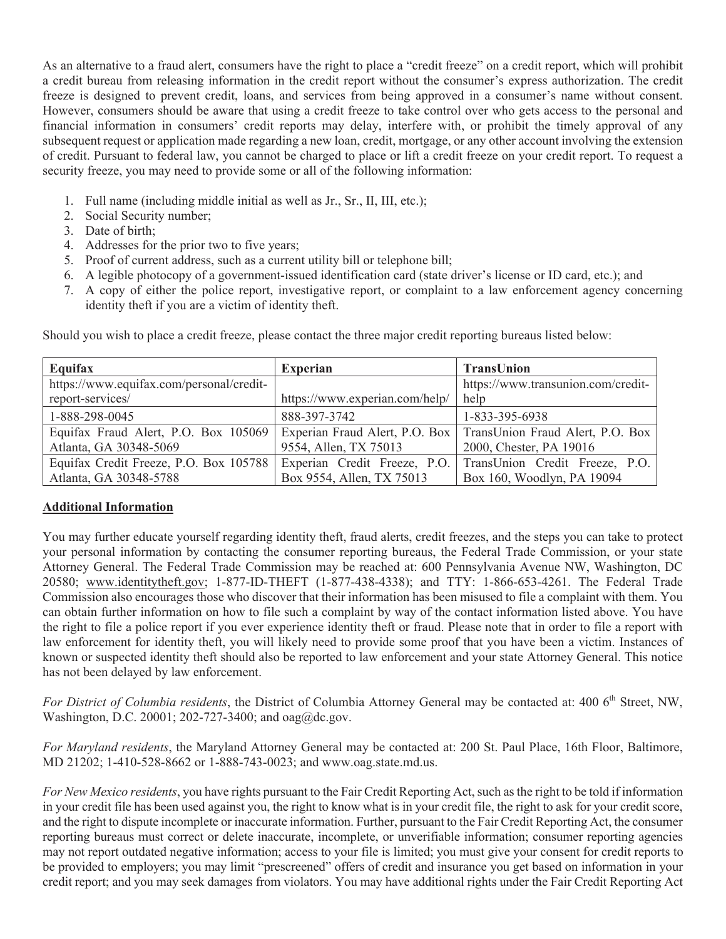As an alternative to a fraud alert, consumers have the right to place a "credit freeze" on a credit report, which will prohibit a credit bureau from releasing information in the credit report without the consumer's express authorization. The credit freeze is designed to prevent credit, loans, and services from being approved in a consumer's name without consent. However, consumers should be aware that using a credit freeze to take control over who gets access to the personal and financial information in consumers' credit reports may delay, interfere with, or prohibit the timely approval of any subsequent request or application made regarding a new loan, credit, mortgage, or any other account involving the extension of credit. Pursuant to federal law, you cannot be charged to place or lift a credit freeze on your credit report. To request a security freeze, you may need to provide some or all of the following information:

- 1. Full name (including middle initial as well as Jr., Sr., II, III, etc.);
- 2. Social Security number;
- 3. Date of birth;
- 4. Addresses for the prior two to five years;
- 5. Proof of current address, such as a current utility bill or telephone bill;
- 6. A legible photocopy of a government-issued identification card (state driver's license or ID card, etc.); and
- 7. A copy of either the police report, investigative report, or complaint to a law enforcement agency concerning identity theft if you are a victim of identity theft.

| Equifax                                  | <b>Experian</b>                | <b>TransUnion</b>                                                 |
|------------------------------------------|--------------------------------|-------------------------------------------------------------------|
| https://www.equifax.com/personal/credit- |                                | https://www.transunion.com/credit-                                |
| report-services/                         | https://www.experian.com/help/ | help                                                              |
| 1-888-298-0045                           | 888-397-3742                   | 1-833-395-6938                                                    |
| Equifax Fraud Alert, P.O. Box 105069     |                                | Experian Fraud Alert, P.O. Box   TransUnion Fraud Alert, P.O. Box |
| Atlanta, GA 30348-5069                   | 9554, Allen, TX 75013          | 2000, Chester, PA 19016                                           |
| Equifax Credit Freeze, P.O. Box 105788   |                                | Experian Credit Freeze, P.O. TransUnion Credit Freeze, P.O.       |
| Atlanta, GA 30348-5788                   | Box 9554, Allen, TX 75013      | Box 160, Woodlyn, PA 19094                                        |

Should you wish to place a credit freeze, please contact the three major credit reporting bureaus listed below:

## **Additional Information**

You may further educate yourself regarding identity theft, fraud alerts, credit freezes, and the steps you can take to protect your personal information by contacting the consumer reporting bureaus, the Federal Trade Commission, or your state Attorney General. The Federal Trade Commission may be reached at: 600 Pennsylvania Avenue NW, Washington, DC 20580; www.identitytheft.gov; 1-877-ID-THEFT (1-877-438-4338); and TTY: 1-866-653-4261. The Federal Trade Commission also encourages those who discover that their information has been misused to file a complaint with them. You can obtain further information on how to file such a complaint by way of the contact information listed above. You have the right to file a police report if you ever experience identity theft or fraud. Please note that in order to file a report with law enforcement for identity theft, you will likely need to provide some proof that you have been a victim. Instances of known or suspected identity theft should also be reported to law enforcement and your state Attorney General. This notice has not been delayed by law enforcement.

*For District of Columbia residents*, the District of Columbia Attorney General may be contacted at: 400 6<sup>th</sup> Street, NW, Washington, D.C. 20001; 202-727-3400; and oag@dc.gov.

*For Maryland residents*, the Maryland Attorney General may be contacted at: 200 St. Paul Place, 16th Floor, Baltimore, MD 21202; 1-410-528-8662 or 1-888-743-0023; and www.oag.state.md.us.

*For New Mexico residents*, you have rights pursuant to the Fair Credit Reporting Act, such as the right to be told if information in your credit file has been used against you, the right to know what is in your credit file, the right to ask for your credit score, and the right to dispute incomplete or inaccurate information. Further, pursuant to the Fair Credit Reporting Act, the consumer reporting bureaus must correct or delete inaccurate, incomplete, or unverifiable information; consumer reporting agencies may not report outdated negative information; access to your file is limited; you must give your consent for credit reports to be provided to employers; you may limit "prescreened" offers of credit and insurance you get based on information in your credit report; and you may seek damages from violators. You may have additional rights under the Fair Credit Reporting Act